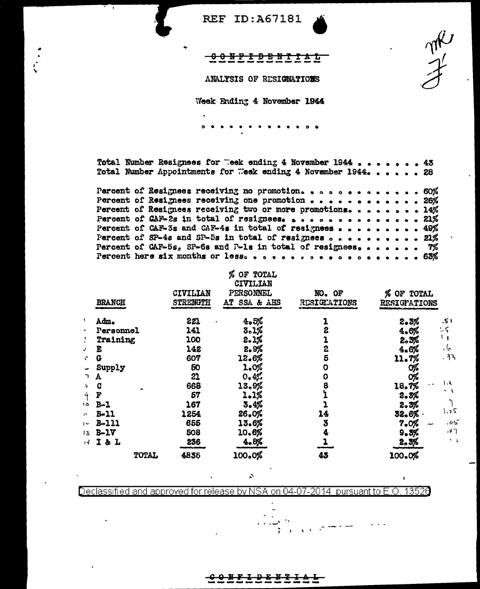$\begin{matrix} \gamma \hat{\beta}^{\prime} \\ \hat{\gamma}^{\prime} \end{matrix}$ 

 $\mathbf{r}$ 

### 00NFIDBNTIAL

ANALYSIS OF RESIGNATIONS

Week Ending 4 November 1944

 $\ddot{\phantom{a}}$  $\bullet$  $\bullet$  $\bullet$ 

Total Number Resignees for "eek ending 4 November 1944 . . .  $.43$  $\bullet$  $\bullet$  $\bullet$ Total Number Appointments for Week ending 4 November 1944. . . . . . 28

|  | Percent of Resignees receiving no promotion. 60%                                                         |  |  |  |  |
|--|----------------------------------------------------------------------------------------------------------|--|--|--|--|
|  | Percent of Resignees receiving one promotion $\cdots$ 26%                                                |  |  |  |  |
|  | Percent of Resignees receiving two or more promotions. 14%                                               |  |  |  |  |
|  | Percent of $QAF-2s$ in total of resignees. 21%                                                           |  |  |  |  |
|  | Percent of CAF-3s and CAF-4s in total of resignees 49%                                                   |  |  |  |  |
|  | Percent of SP-4s and SP-5s in total of resignees $\circ \cdot \cdot \cdot \cdot \cdot \cdot \cdot$ . 21% |  |  |  |  |
|  | Percent of CAF-5s, SP-6s and P-1s in total of resignees $\frac{1}{2}$                                    |  |  |  |  |
|  | Percent here six months or less. 63%                                                                     |  |  |  |  |

# % OF TOTAL

|                |               |          | CIVILIAN     |              |                                 |
|----------------|---------------|----------|--------------|--------------|---------------------------------|
|                |               | CIVILIAN | PERSONNEL    | NO. OF       | % OF TOTAL                      |
|                | <b>BRANCH</b> | STRENGTH | AT SSA & AHS | RESIGNATIONS | <b>RESIGPATIONS</b>             |
| 1              | Adm.          | 221      | 4.5%         |              | 2.3%<br>.51                     |
| $\blacksquare$ | Personnel     | 141      | 3.1%         | 2            | ۰<<br>4.6%                      |
| 3              | Training      | 100      | 2.1%         |              | 2.3%                            |
| J.             | E             | 142      | 2.9%         | 2            | ما ،<br>4.6%                    |
| ÷              | G             | 607      | 12.6%        | 5            | .33<br>11.7%                    |
|                | Supply        | 50       | 1.0%         | о            | 0%                              |
| ∍.             | A             | 21       | 0.4%         | 0            | O%                              |
| ÷.             | C             | 668      | 13.9%        | 8            | ۱.૨<br>18.7%                    |
| Î              | F             | 57       | 2.1%         |              | - 1<br>2.3%                     |
| ه ۱            | $B-1$         | 167      | 3.4%         |              | 2.3%                            |
| n              | $B-11$        | 1254     | 26.0%        | 14           | ؟ د.∖<br>32.6%                  |
| $\sim$         | $B - 111$     | 655      | 13.6%        | 3            | .05<br>7.0%<br><b>A</b>         |
| 13.            | $B-1V$        | 508      | 10.6%        |              | $\cdot$ $\cdot$ $\cdot$<br>9.3% |
| ıЧ.            | I&L           | 236      | 4.8%         |              | 2.3%                            |
|                | TOTAL         | 4835     | 100.0%       | 43           | 100.0%                          |

 $\hat{\mathcal{L}}$ 

Declassified and approved for release by NSA on 04-07-2014 pursuant to E.O. 13526

> <del>፤ D ድ ມ 2</del>  $\bullet$  With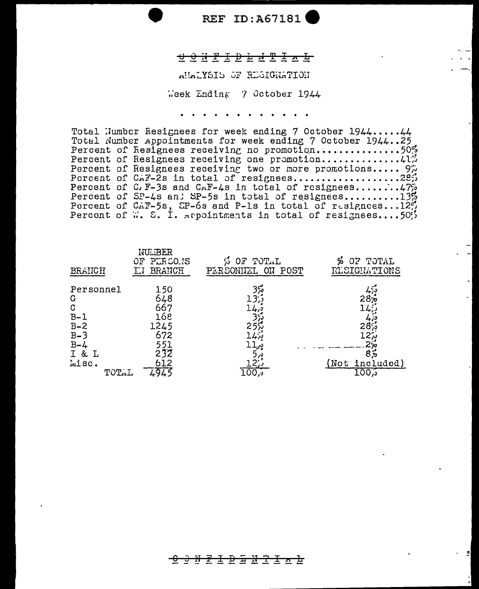#### 

RUBING OF REGIGRATION

Week Ending 7 October 1944

*Charles Committee* 

Total Number Resignees for week ending 7 October 1944.....44 Total Number Appointments for week ending 7 October 1944..25 Percent of Resignees receiving no promotion...............50% Percent of Resignees receiving two or more promotions..... 97 Porcent of C<sub>n</sub>T-2s in total of resignees...................285 Percent of C.F-3s and C.F-4s in total of resignees..........175<br>Percent of SP-4s an: SP-5s in total of resignees.........1356<br>Percent of C.F-5s, CP-6s and P-1s in total of resignees...125 Percent of W. S. I. srpointments in total of resignees....505

| <b>BRANCH</b>                                  | <b>NU.BER</b><br>PLR SO.IS<br>OF<br><b>BRANCH</b> | OF TOTAL<br>Ø<br>PERSONIEL<br>ON POST | OF TOTAL<br>%<br>RLSIGNATIONS                     |
|------------------------------------------------|---------------------------------------------------|---------------------------------------|---------------------------------------------------|
| Personnel<br>G<br>C<br>$B-1$<br>$B - 2$        | 150<br>648<br>667<br>168<br>1245                  | 350                                   | 28 <sub>7</sub><br>287                            |
| $B-3$<br>$B - 4$<br>3 I<br>L<br>misc.<br>TOTAL | 672<br>551<br>232<br>612                          |                                       | 127,<br>$2\%$<br>85<br>(Not<br>included)<br>تر100 |

### <u>-0 0 N P I D & N T I A b</u>

회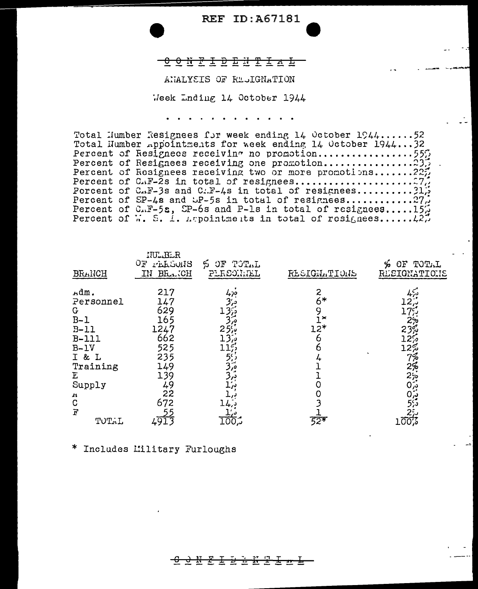# 

### ANALYSIS OF REJIGNATION

Week Inding 14 October 1944

 $\begin{array}{cccccccccccccc} \bullet & \bullet & \bullet & \bullet & \bullet & \bullet & \bullet & \bullet & \bullet & \bullet \end{array}$ 

Total Humber Resignees for week ending 14 October 1944...... 52 Total Number appointments for week ending 14 October 1944...32 Percent of Resignees receiving one promotion.................23. Percent of Resignees receiving two or more promotions.......225 Porcent of CAF-3s and CAF-4s in total of resignees.......... 31, Percent of SP-4s and SP-5s in total of resignees............27.<br>Percent of C.F-5s, SP-6s and P-1s in total of resignees......15. Percent of W. S. 1. Appointments in total of resignees......  $\{2, 7\}$ 

| <b>BRANCH</b> | NU BLR<br>ОF<br><b>TELLOUIS</b><br>BRCH<br>IN | OF TOTAL<br>ر بن<br>PLRSONNEL | RESIGNATIONS | Ýо<br>TOTAL<br>OF<br>RESIGNATIONS |
|---------------|-----------------------------------------------|-------------------------------|--------------|-----------------------------------|
| Adm.          | 217                                           | 470                           | 2            | ەببى                              |
| Personnel     | 147                                           |                               | 6*           |                                   |
| G             | 629                                           |                               |              |                                   |
| $B-1$         | 165                                           |                               | $\tilde{}$   |                                   |
| $B-11$        | 1247                                          |                               | 12*          | 23%                               |
| $B-111$       | 662                                           |                               |              |                                   |
| $B-1V$        | 525                                           |                               |              |                                   |
| I & L         | 235                                           |                               |              | 7%                                |
| Training      | 149                                           |                               |              | 2%                                |
| E             | 139                                           |                               |              | ة;2                               |
| Supply        | 49                                            |                               |              | ېژ0                               |
| н             | 22                                            |                               |              | ږ (0                              |
| $\mathbf C$   | 672                                           |                               |              | 55                                |
| F             |                                               |                               |              |                                   |
| TOTAL         | 491.                                          | 100,                          | 521          | 100%                              |

\* Includes Military Furloughs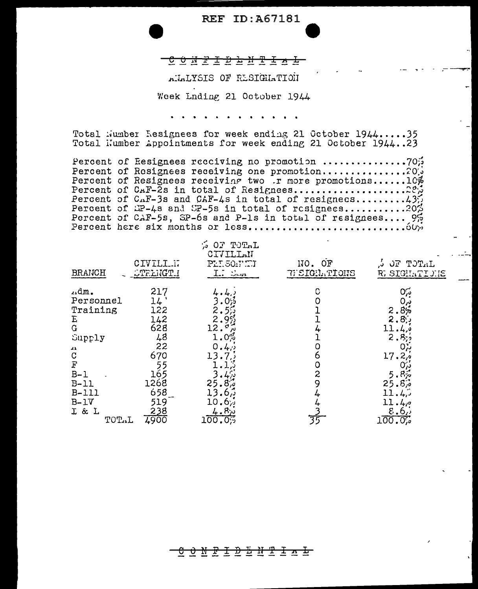## <u>сойттрънттаъ</u>

### ALALYSIS OF RESIGIATION

#### Week Lnding 21 October 1944

Total Number Resignees for week ending 21 October 1944.....35 Total Number Appointments for week ending 21 October 1944..23

Percent of Resignees receiving one promotion...............200 Percent of Resignees receiving two .r more promotions......10% Percent of CAF-2s in total of Resignees.....................22% Percent of  $C_nF-3s$  and  $C_nF-4s$  in total of resignecs.........43. Percent of HP-4s and SP-5s in total of resignees..........202 Percent of CAF-5s, SP-6s and P-1s in total of resignees.... 95 

| BRANCH    | CIVILI.I.<br><b>OTELHGT I</b> | $\sim 0.7$<br>TOTAL<br>CIVILLAN<br>PLI.50.FET<br>$\overline{1}$ . Som | ОF<br>110.<br><b>REIGHATIONS</b> | TOTAL<br>JF .<br>υ.<br>R. SIGHATICHE |  |
|-----------|-------------------------------|-----------------------------------------------------------------------|----------------------------------|--------------------------------------|--|
| م¤α.      | 217                           |                                                                       | C                                | 0%                                   |  |
| Personnel | 14                            |                                                                       |                                  |                                      |  |
| Training  | 122                           |                                                                       |                                  | 2.8%                                 |  |
| E         | 142                           |                                                                       |                                  | 2,85                                 |  |
| Ġ         | 628                           | 12.                                                                   |                                  |                                      |  |
| Supply    | 48                            | $1.0\%$                                                               |                                  | 2.                                   |  |
|           | 22                            | 0<br>د به                                                             |                                  |                                      |  |
| たっぽ       | 670                           |                                                                       | O                                | 17.2 <sub>0</sub>                    |  |
|           |                               |                                                                       |                                  |                                      |  |
| $B-1$     | 165                           |                                                                       | 2                                | .8 <sub>p</sub><br>5                 |  |
| B-11      | 1268                          | 25<br>$8\%$                                                           |                                  | 25.87                                |  |
| $B-111$   | 658                           | נ, ס                                                                  |                                  |                                      |  |
| $B-1V$    | 519                           | 10<br>ხ∵ა                                                             |                                  | 40°                                  |  |
| I & L     | 238                           | 4.8 <sub>o</sub>                                                      |                                  | $\epsilon_{\bullet}6_{\prime}$       |  |
| TOTAL     | I900                          | 100.05                                                                | 35                               | 100.0%                               |  |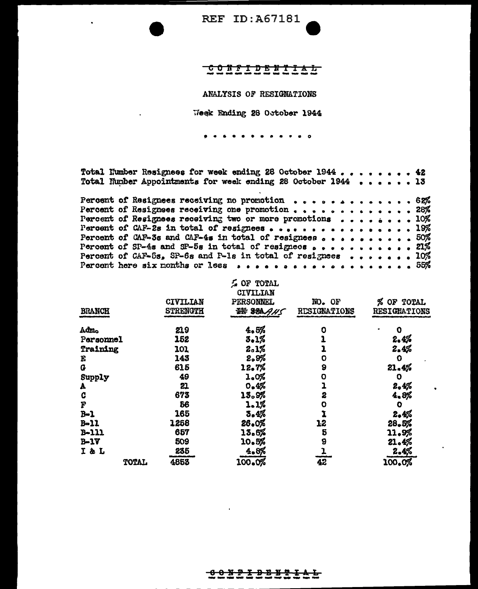# <u>CONFIDENTIAL</u>

#### ANALYSIS OF RESIGNATIONS

Week Ending 28 October 1944

 $\bullet$ 

Total Number Resignees for week ending 28 October 1944 . . . . . . . . 42 Total Number Appointments for week ending 28 October 1944 . . . . . 13

|  | Percent of Resignees receiving no promotion $\ldots$ 62%                                                                       |  |  |  |  |  |  |  |  |
|--|--------------------------------------------------------------------------------------------------------------------------------|--|--|--|--|--|--|--|--|
|  | Percent of Resignees receiving one promotion 28%                                                                               |  |  |  |  |  |  |  |  |
|  | Percent of Resignees receiving two or more promotions $\cdot \cdot \cdot \cdot \cdot \cdot \cdot \cdot \cdot 10\%$             |  |  |  |  |  |  |  |  |
|  |                                                                                                                                |  |  |  |  |  |  |  |  |
|  | Percent of CAF-3s and CAF-4s in total of resignees $\circ \cdot \cdot \cdot \cdot \cdot \cdot \cdot \cdot \cdot \cdot$ 50%     |  |  |  |  |  |  |  |  |
|  | Percent of SP-4s and SP-5s in total of resignees $\ldots$ 21%                                                                  |  |  |  |  |  |  |  |  |
|  | Percent of CAF-5s, SP-6s and P-1s in total of resignees $\bullet \bullet \bullet \bullet \bullet \bullet \bullet \bullet 10\%$ |  |  |  |  |  |  |  |  |
|  | Parcent here six months or 1688 $\ldots$ 55%                                                                                   |  |  |  |  |  |  |  |  |

|                  |       |                 | <b>LOF TOTAL</b><br>CIVILIAN |              |                     |
|------------------|-------|-----------------|------------------------------|--------------|---------------------|
|                  |       | CIVILIAN        | <b>PERSONNEL</b>             | NO. OF       | % OF TOTAL          |
| <b>BRANCH</b>    |       | <b>STRENGTH</b> | 拼 88AAH5                     | RESIGNATIONS | <b>RESIGNATIONS</b> |
| Admo             |       | 219             | 4.5%                         | o            | 0                   |
| <b>Personnel</b> |       | 152             | 3.1%                         |              | 2.4%                |
| Training         |       | 101             | 2.1%                         |              | 2.4%                |
| E                |       | 143             | 2.9%                         | 0            | $\bullet$           |
| G                |       | 615             | 12.7%                        | 9            | 21.4%               |
| Supply           |       | 49              | 1.0%                         | $\mathbf 0$  | $\mathbf 0$         |
| A                |       | 21              | 0.4%                         |              | 2.4%                |
| C                |       | 673             | 13.9%                        | 2            | 4.8%                |
| F                |       | 56              | 1.1%                         | o            | $\bullet$           |
| $B-1$            |       | 165             | 3.4%                         |              | 2,4%                |
| $B - 11$         |       | 1258            | 26.0%                        | 12           | 28.5%               |
| $B-111$          |       | 657             | 13.6%                        | 5            | 11.9%               |
| $B-1V$           |       | 509             | 10.5%                        | 9            | 21.4%               |
| I & L            |       | 235             | 4.8%                         |              | 2.4%                |
|                  | TOTAL | 4853            | 100.0%                       | 42           | 100.0%              |